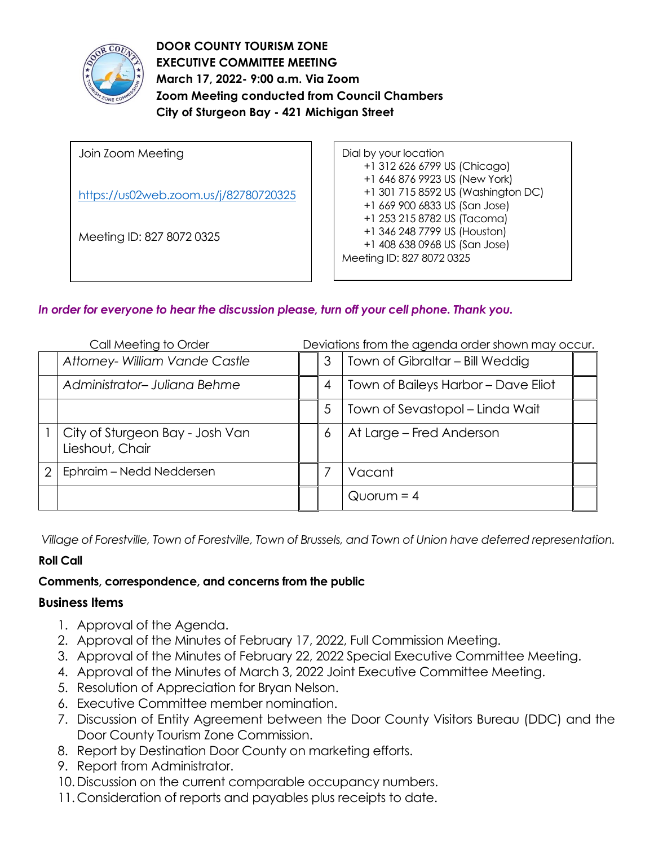

**DOOR COUNTY TOURISM ZONE EXECUTIVE COMMITTEE MEETING March 17, 2022- 9:00 a.m. Via Zoom Zoom Meeting conducted from Council Chambers City of Sturgeon Bay - 421 Michigan Street** 

Join Zoom Meeting <https://us02web.zoom.us/j/82780720325> Meeting ID: 827 8072 0325

Dial by your location +1 312 626 6799 US (Chicago) +1 646 876 9923 US (New York) +1 301 715 8592 US (Washington DC) +1 669 900 6833 US (San Jose) +1 253 215 8782 US (Tacoma) +1 346 248 7799 US (Houston) +1 408 638 0968 US (San Jose) Meeting ID: 827 8072 0325

# *In order for everyone to hear the discussion please, turn off your cell phone. Thank you.*

| Call Meeting to Order |                                                    | Deviations from the agenda order shown may occur. |                                     |  |
|-----------------------|----------------------------------------------------|---------------------------------------------------|-------------------------------------|--|
|                       | Attorney- William Vande Castle                     | 3                                                 | Town of Gibraltar - Bill Weddig     |  |
|                       | Administrator-Juliana Behme                        | 4                                                 | Town of Baileys Harbor - Dave Eliot |  |
|                       |                                                    | 5                                                 | Town of Sevastopol – Linda Wait     |  |
|                       | City of Sturgeon Bay - Josh Van<br>Lieshout, Chair | 6                                                 | At Large - Fred Anderson            |  |
| 2                     | Ephraim – Nedd Neddersen                           |                                                   | Vacant                              |  |
|                       |                                                    |                                                   | $Quorum = 4$                        |  |

*Village of Forestville, Town of Forestville, Town of Brussels, and Town of Union have deferred representation.*

### **Roll Call**

## **Comments, correspondence, and concerns from the public**

### **Business Items**

- 1. Approval of the Agenda.
- 2. Approval of the Minutes of February 17, 2022, Full Commission Meeting.
- 3. Approval of the Minutes of February 22, 2022 Special Executive Committee Meeting.
- 4. Approval of the Minutes of March 3, 2022 Joint Executive Committee Meeting.
- 5. Resolution of Appreciation for Bryan Nelson.
- 6. Executive Committee member nomination.
- 7. Discussion of Entity Agreement between the Door County Visitors Bureau (DDC) and the Door County Tourism Zone Commission.
- 8. Report by Destination Door County on marketing efforts.
- 9. Report from Administrator.
- 10.Discussion on the current comparable occupancy numbers.
- 11. Consideration of reports and payables plus receipts to date.